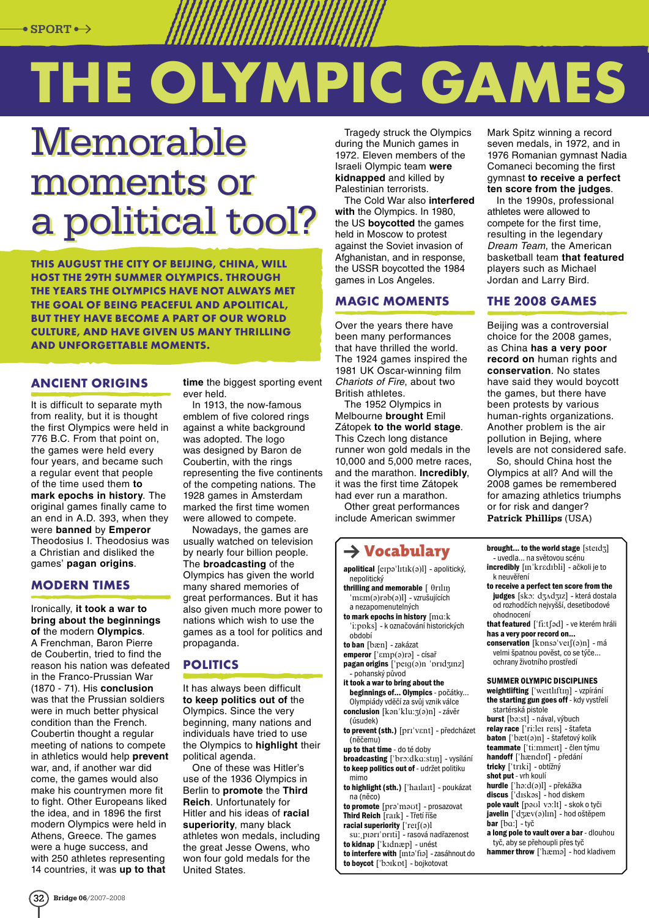# **The Olympic Games**

# Memorable Memorable moments or moments or a political tool? a political tool?

**This August the city of Beijing, China, will host the 29th Summer Olympics. Through the years the Olympics have not always met the goal of being peaceful and apolitical, but they have become a part of our world culture, and have given us many thrilling and unforgettable moments.**

#### **Ancient origins**

It is difficult to separate myth from reality, but it is thought the first Olympics were held in 776 B.C. From that point on, the games were held every four years, and became such a regular event that people of the time used them **to mark epochs in history**. The original games finally came to an end in A.D. 393, when they were **banned** by **Emperor** Theodosius I. Theodosius was a Christian and disliked the games' **pagan origins**.

#### **Modern times**

Ironically, **it took a war to bring about the beginnings of** the modern **Olympics**. A Frenchman, Baron Pierre de Coubertin, tried to find the reason his nation was defeated in the Franco-Prussian War (1870 - 71). His **conclusion** was that the Prussian soldiers were in much better physical condition than the French. Coubertin thought a regular meeting of nations to compete in athletics would help **prevent** war, and, if another war did come, the games would also make his countrymen more fit to fight. Other Europeans liked the idea, and in 1896 the first modern Olympics were held in Athens, Greece. The games were a huge success, and with 250 athletes representing 14 countries, it was **up to that** 

**time** the biggest sporting event ever held.

In 1913, the now-famous emblem of five colored rings against a white background was adopted. The logo was designed by Baron de Coubertin, with the rings representing the five continents of the competing nations. The 1928 games in Amsterdam marked the first time women were allowed to compete.

Nowadays, the games are usually watched on television by nearly four billion people. The **broadcasting** of the Olympics has given the world many shared memories of great performances. But it has also given much more power to nations which wish to use the games as a tool for politics and propaganda.

## **Politics**

It has always been difficult **to keep politics out of** the Olympics. Since the very beginning, many nations and individuals have tried to use the Olympics to **highlight** their political agenda.

One of these was Hitler's use of the 1936 Olympics in Berlin to **promote** the **Third Reich**. Unfortunately for Hitler and his ideas of **racial superiority**, many black athletes won medals, including the great Jesse Owens, who won four gold medals for the United States.

Tragedy struck the Olympics during the Munich games in 1972. Eleven members of the Israeli Olympic team **were kidnapped** and killed by Palestinian terrorists.

The Cold War also **interfered with** the Olympics. In 1980, the US **boycotted** the games held in Moscow to protest against the Soviet invasion of Afghanistan, and in response, the USSR boycotted the 1984 games in Los Angeles.

#### **Magic moments**

Over the years there have been many performances that have thrilled the world. The 1924 games inspired the 1981 UK Oscar-winning film Chariots of Fire, about two British athletes.

The 1952 Olympics in Melbourne **brought** Emil Zátopek **to the world stage**. This Czech long distance runner won gold medals in the 10,000 and 5,000 metre races, and the marathon. **Incredibly**, it was the first time Zátopek had ever run a marathon.

Other great performances include American swimmer

### $\rightarrow$  Vocabulary

apolitical  $[$ erpa'l $1$ t $1$ k $($ a) $]$  - apolitický, .<br>nepolitický thrilling and memorable  $\int \theta r \, dr$ mem(a)rab(a)l] - vzrušujících a nezapomenutelných to mark epochs in history  $[ma:k]$ 'i:ppks] - k označování historických období to ban [bæn] - zakázat emperor ['ɛmp(ə)rə] - císař  $\mathbf{p}$ agan origins  $\int$ ' $\text{p}$ eig(a)n 'pridzinz] - pohanský původ it took a war to bring about the beginnings of... Olympics - počátky... Olympiády vděčí za svůj vznik válce conclusion [kan'klu: 3(a)n] - závěr (úsudek) to prevent (sth.) [prɪ'vɛnt] - předcházet (něčemu) up to that time - do té doby broadcasting ['bro:dka:stɪn] - vysílání to keep politics out of - udržet politiku mimo to highlight (sth.) ['haɪlaɪt] - poukázat na (něco) to promote [pra'maut] - prosazovat Third Reich [raɪk] - Třetí říše racial superiority  $\lceil \text{ref}(\varphi) \rceil$ su: piari' priti] - rasová nadřazenost

to kidnap ['kɪdnæp] - unést to interfere with [Inta'fia] - zasáhnout do to boycot ['boɪkpt] - bojkotovat

Mark Spitz winning a record seven medals, in 1972, and in 1976 Romanian gymnast Nadia Comaneci becoming the first gymnast **to receive a perfect ten score from the judges**.

In the 1990s, professional athletes were allowed to compete for the first time, resulting in the legendary Dream Team, the American basketball team **that featured** players such as Michael Jordan and Larry Bird.

#### **The 2008 Games**

Beijing was a controversial choice for the 2008 games, as China **has a very poor record on** human rights and **conservation**. No states have said they would boycott the games, but there have been protests by various human‑rights organizations. Another problem is the air pollution in Bejing, where levels are not considered safe.

So, should China host the Olympics at all? And will the 2008 games be remembered for amazing athletics triumphs or for risk and danger? Patrick Phillips (USA)

brought... to the world stage  $[\text{sted}]$ - uvedla... na světovou scénu incredibly [In'kredIbli] - ačkoli je to k neuvěření

to receive a perfect ten score from the judges [sko: dʒʌdʒɪz] - která dostala od rozhodčích nejvyšší, desetibodové ohodnocení

that featured ['fi:tfad] - ve kterém hráli has a very poor record on...

conservation [kpnsa'veɪʃ(a)n] - má velmišpatnou pověst, co se týče... ochranyživotního prostředí

#### Summer olympic disciplines

weightlifting ['wertlɪftɪŋ] - vzpírání the starting gun goes off - kdy vystřelí startérská pistole burst [ba:st] - nával, výbuch relay race ['ri:leɪ reɪs] - štafeta baton ['bæt(a)n] - štafetový kolík teammate ['ti:mmert] - člen týmu handoff ['hændpf] - předání tricky ["trIki] - obtížný shot put - vrh koulí hurdle ['ha:d(a)l] - překážka  $discus$   $\int d$ <sub>Isk</sub>  $\frac{1}{2}$  - hod diskem pole vault [paul vo:lt] - skok o tyči  $java$ [avelin  $\left[ \frac{1}{3}$ æv $\left( \frac{1}{2} \right)$ ] $\left[ \frac{1}{2} \right]$  hod oštěpem  $bar$  [ba:] - tyč a long pole to vault over a bar - dlouhou

tyč, abyse přehoupli přestyč hammer throw ['hæma] - hod kladivem